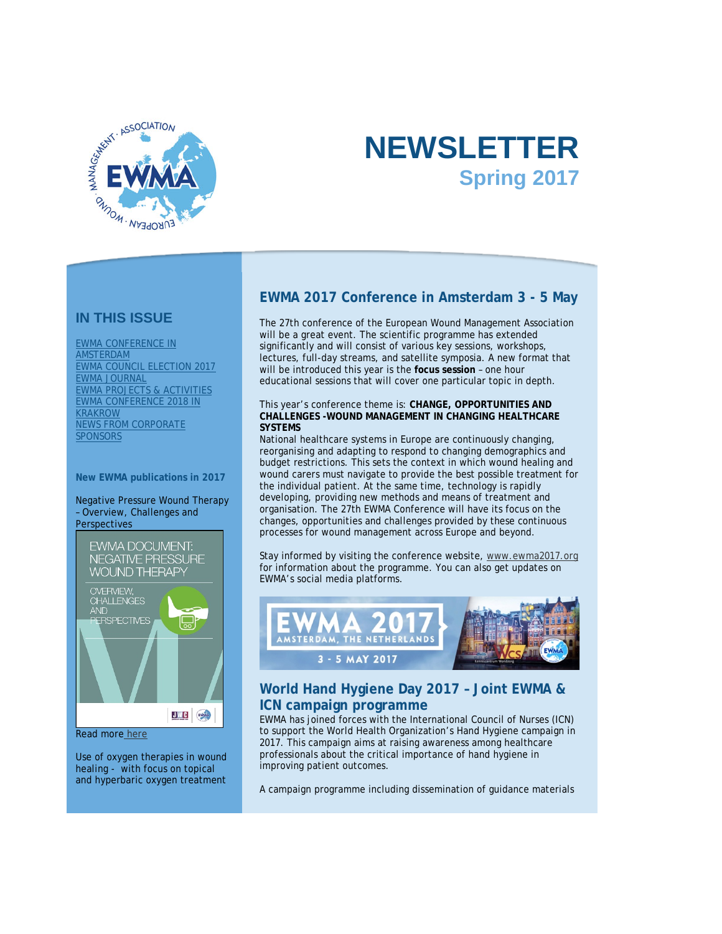

# **NEWSLETTER Spring 2017**

### **IN THIS ISSUE**

[EWMA CONFERENCE IN](#page-0-0)  [AMSTERDAM](#page-0-0) [EWMA COUNCIL ELECTION 2017](#page-1-0) [EWMA JOURNAL](#page-1-1) [EWMA PROJECTS & ACTIVITIES](#page-2-0) [EWMA CONFERENCE 2018 IN](#page-4-0)  [KRAKROW](#page-4-0) [NEWS FROM CORPORATE](#page-5-0)  **SPONSORS** 

#### **New EWMA publications in 2017**

Negative Pressure Wound Therapy – Overview, Challenges and **Perspectives** 



#### Read more [here](http://click.icptrack.com/icp/relay.php?r=78550583&msgid=2059461&act=71KU&c=614578&destination=http%3A%2F%2Fewma.org%2Fwhat-we-do%2Fewma-projects%2Fwe-are-currently-working-on%2Fnpwt-guidance-document%2F)

Use of oxygen therapies in wound healing - with focus on topical and hyperbaric oxygen treatment

### <span id="page-0-0"></span>**EWMA 2017 Conference in Amsterdam 3 - 5 May**

The 27th conference of the European Wound Management Association will be a great event. The scientific programme has extended significantly and will consist of various key sessions, workshops, lectures, full-day streams, and satellite symposia. A new format that will be introduced this year is the **focus session** – one hour educational sessions that will cover one particular topic in depth.

#### This year's conference theme is: **CHANGE, OPPORTUNITIES AND CHALLENGES -WOUND MANAGEMENT IN CHANGING HEALTHCARE SYSTEMS**

National healthcare systems in Europe are continuously changing, reorganising and adapting to respond to changing demographics and budget restrictions. This sets the context in which wound healing and wound carers must navigate to provide the best possible treatment for the individual patient. At the same time, technology is rapidly developing, providing new methods and means of treatment and organisation. The 27th EWMA Conference will have its focus on the changes, opportunities and challenges provided by these continuous processes for wound management across Europe and beyond.

Stay informed by visiting the conference website, [www.ewma2017.org](http://click.icptrack.com/icp/relay.php?r=78550583&msgid=2059461&act=71KU&c=614578&destination=http%3A%2F%2Fwww.ewma2017.org) for information about the programme. You can also get updates on EWMA's social media platforms.



### **World Hand Hygiene Day 2017 – Joint EWMA & ICN campaign programme**

EWMA has joined forces with the International Council of Nurses (ICN) to support the World Health Organization's Hand Hygiene campaign in 2017. This campaign aims at raising awareness among healthcare professionals about the critical importance of hand hygiene in improving patient outcomes.

A campaign programme including dissemination of guidance materials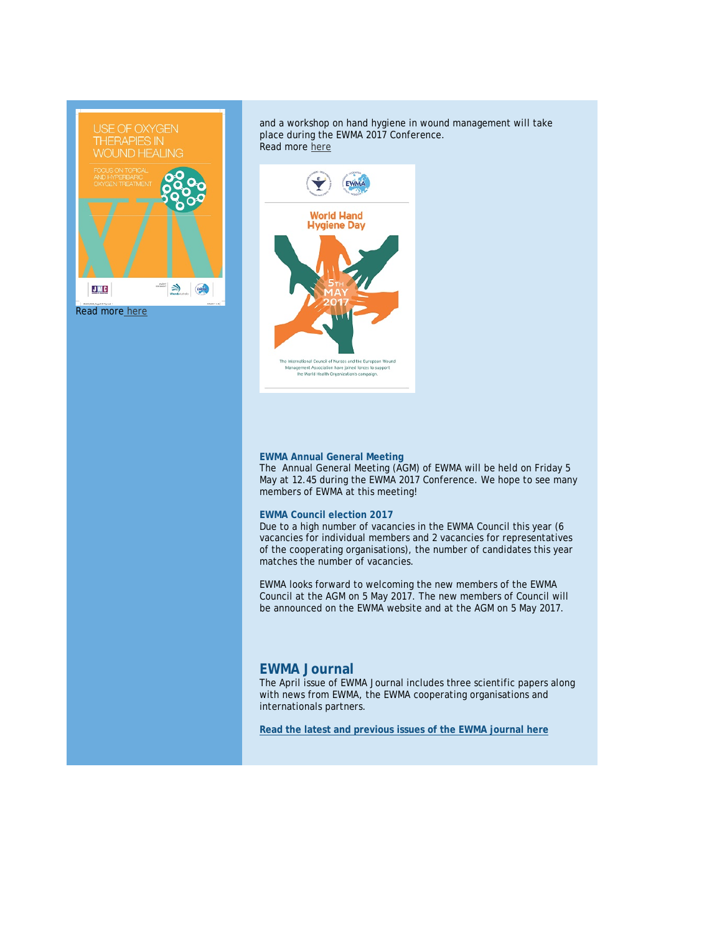

and a workshop on hand hygiene in wound management will take place during the EWMA 2017 Conference. Read mor[e here](http://click.icptrack.com/icp/relay.php?r=78550583&msgid=2059461&act=71KU&c=614578&destination=http%3A%2F%2Fewma.org%2Fewma-news-events%2Fnews-archive%2Fnews-detail%2F%3FnewsItemUid%3D3836%26cHash%3D2e1a00bbf62552606f4678835ae00329)



#### <span id="page-1-0"></span>**EWMA Annual General Meeting**

The Annual General Meeting (AGM) of EWMA will be held on Friday 5 May at 12.45 during the EWMA 2017 Conference. We hope to see many members of EWMA at this meeting!

#### **EWMA Council election 2017**

Due to a high number of vacancies in the EWMA Council this year (6 vacancies for individual members and 2 vacancies for representatives of the cooperating organisations), the number of candidates this year matches the number of vacancies.

EWMA looks forward to welcoming the new members of the EWMA Council at the AGM on 5 May 2017. The new members of Council will be announced on the EWMA website and at the AGM on 5 May 2017.

#### <span id="page-1-1"></span>**EWMA Journal**

The April issue of EWMA Journal includes three scientific papers along with news from EWMA, the EWMA cooperating organisations and internationals partners.

**[Read the latest and previous issues of the EWMA journal here](http://click.icptrack.com/icp/relay.php?r=78550583&msgid=2059461&act=71KU&c=614578&destination=http%3A%2F%2Fewma.org%2Fwhat-we-do%2Fewma-journal%2F)**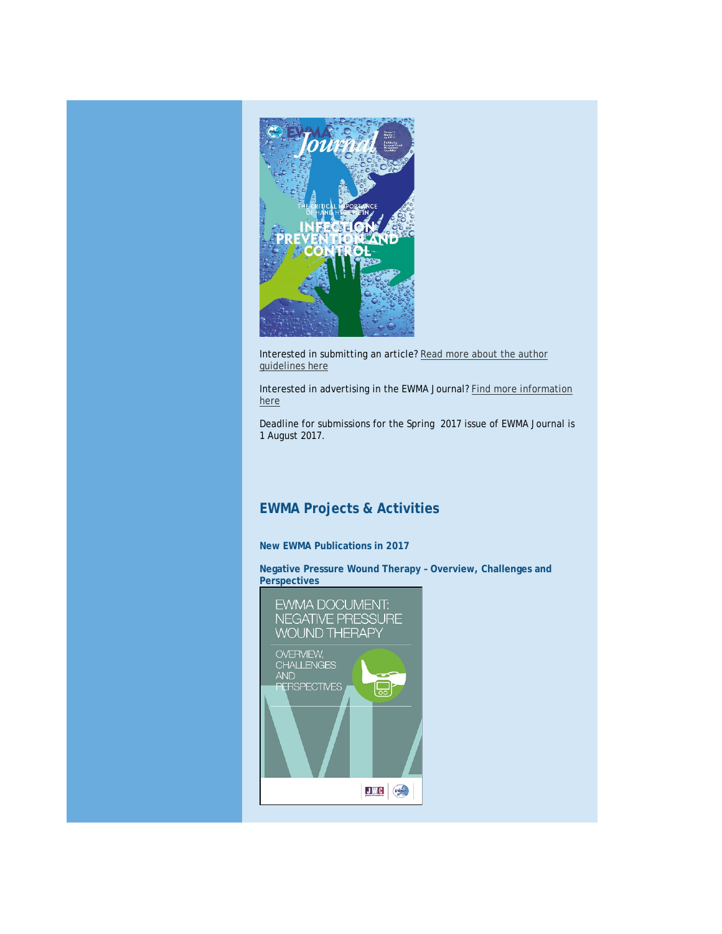

Interested in submitting an article[? Read more about the author](http://click.icptrack.com/icp/relay.php?r=78550583&msgid=2059461&act=71KU&c=614578&destination=http%3A%2F%2Fewma.org%2Fwhat-we-do%2Fewma-journal%2Fauthor-guidelines%2F)  [guidelines here](http://click.icptrack.com/icp/relay.php?r=78550583&msgid=2059461&act=71KU&c=614578&destination=http%3A%2F%2Fewma.org%2Fwhat-we-do%2Fewma-journal%2Fauthor-guidelines%2F)

Interested in advertising in the EWMA Journal? [Find more information](http://click.icptrack.com/icp/relay.php?r=78550583&msgid=2059461&act=71KU&c=614578&destination=http%3A%2F%2Fewma.org%2Fwhat-we-do%2Fewma-journal%2Fadvertising%2F)  [here](http://click.icptrack.com/icp/relay.php?r=78550583&msgid=2059461&act=71KU&c=614578&destination=http%3A%2F%2Fewma.org%2Fwhat-we-do%2Fewma-journal%2Fadvertising%2F)

Deadline for submissions for the Spring 2017 issue of EWMA Journal is 1 August 2017.

### <span id="page-2-0"></span>**EWMA Projects & Activities**

#### **New EWMA Publications in 2017**

**Negative Pressure Wound Therapy – Overview, Challenges and Perspectives**

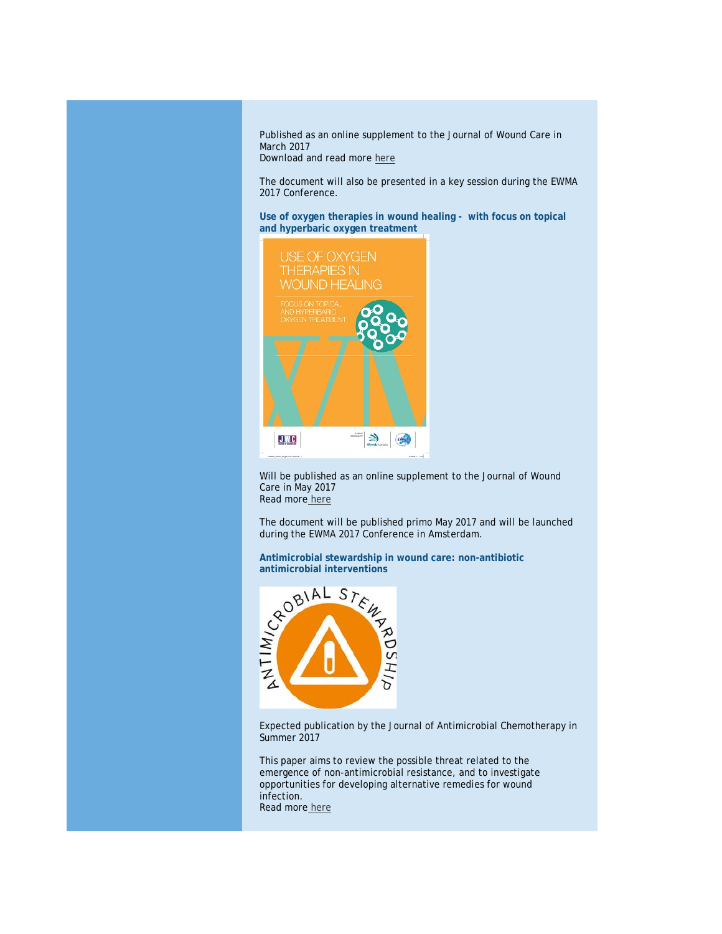Published as an online supplement to the Journal of Wound Care in March 2017 Download and read more [here](http://click.icptrack.com/icp/relay.php?r=78550583&msgid=2059461&act=71KU&c=614578&destination=http%3A%2F%2Fewma.org%2Fwhat-we-do%2Fewma-projects%2Fwe-are-currently-working-on%2Fnpwt-guidance-document%2F)

The document will also be presented in a key session during the EWMA 2017 Conference.

**Use of oxygen therapies in wound healing - with focus on topical and hyperbaric oxygen treatment**



Will be published as an online supplement to the Journal of Wound Care in May 2017 Read more [here](http://click.icptrack.com/icp/relay.php?r=78550583&msgid=2059461&act=71KU&c=614578&destination=http%3A%2F%2Fewma.org%2Fwhat-we-do%2Fewma-projects%2Fwe-are-currently-working-on%2Foxygen-therapies-guidance-document%2F)

The document will be published primo May 2017 and will be launched during the EWMA 2017 Conference in Amsterdam.

**Antimicrobial stewardship in wound care: non-antibiotic** 



Expected publication by the Journal of Antimicrobial Chemotherapy in Summer 2017

This paper aims to review the possible threat related to the emergence of non-antimicrobial resistance, and to investigate opportunities for developing alternative remedies for wound infection. Read more [here](http://click.icptrack.com/icp/relay.php?r=78550583&msgid=2059461&act=71KU&c=614578&destination=http%3A%2F%2Fewma.org%2Fwhat-we-do%2Fewma-projects%2Fwe-are-currently-working-on%2Fantimicrobial-stewardship%2F)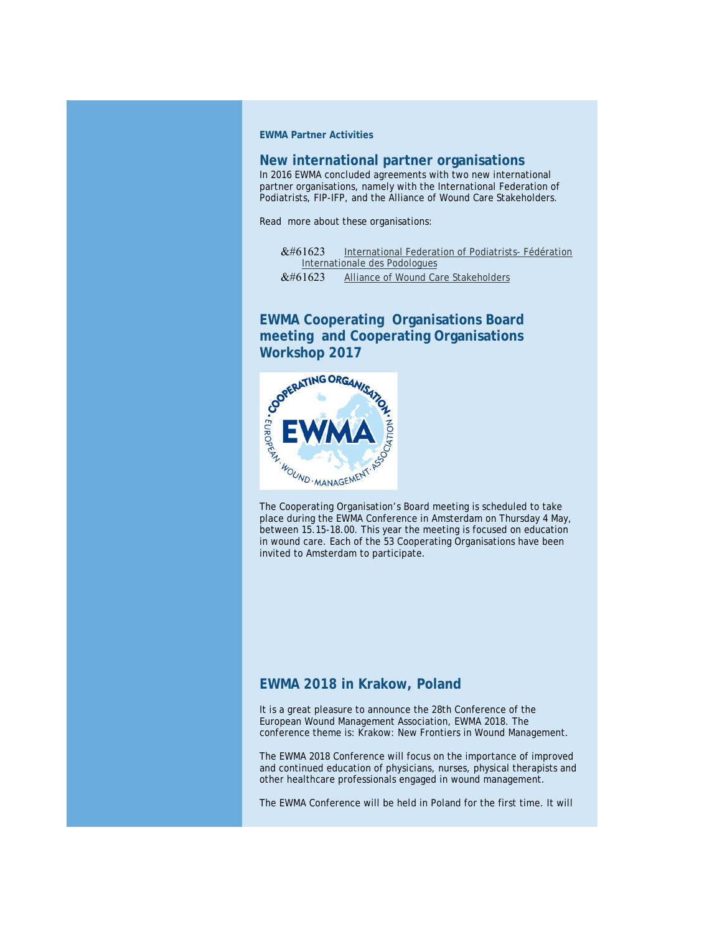**EWMA Partner Activities**

#### **New international partner organisations**

In 2016 EWMA concluded agreements with two new international partner organisations, namely with the International Federation of Podiatrists, FIP-IFP, and the Alliance of Wound Care Stakeholders.

Read more about these organisations:

&#61623 [International Federation of Podiatrists-](http://click.icptrack.com/icp/relay.php?r=78550583&msgid=2059461&act=71KU&c=614578&destination=http%3A%2F%2Fwww.fip-ifp.org%2F) Fédération [Internationale des Podologues](http://click.icptrack.com/icp/relay.php?r=78550583&msgid=2059461&act=71KU&c=614578&destination=http%3A%2F%2Fwww.fip-ifp.org%2F) &#61623 [Alliance of Wound Care Stakeholders](http://click.icptrack.com/icp/relay.php?r=78550583&msgid=2059461&act=71KU&c=614578&destination=http%3A%2F%2Fwww.woundcarestakeholders.org%2F)

**EWMA Cooperating Organisations Board meeting and Cooperating Organisations** 



The Cooperating Organisation's Board meeting is scheduled to take place during the EWMA Conference in Amsterdam on Thursday 4 May, between 15.15-18.00. This year the meeting is focused on education in wound care. Each of the 53 Cooperating Organisations have been invited to Amsterdam to participate.

#### <span id="page-4-0"></span>**EWMA 2018 in Krakow, Poland**

It is a great pleasure to announce the 28th Conference of the European Wound Management Association, EWMA 2018. The conference theme is: Krakow: New Frontiers in Wound Management.

The EWMA 2018 Conference will focus on the importance of improved and continued education of physicians, nurses, physical therapists and other healthcare professionals engaged in wound management.

The EWMA Conference will be held in Poland for the first time. It will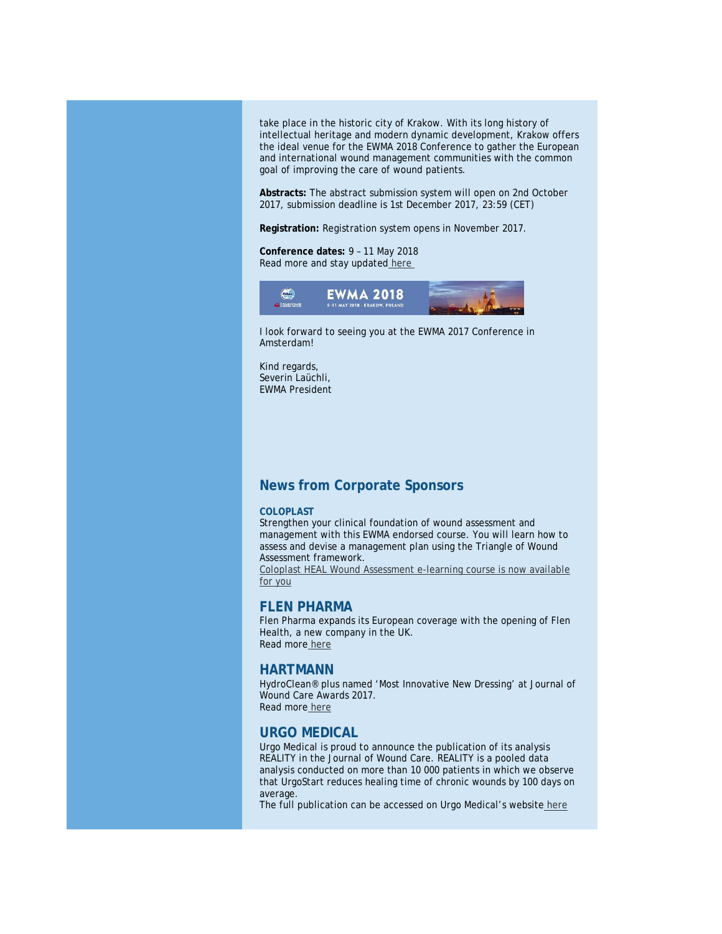take place in the historic city of Krakow. With its long history of intellectual heritage and modern dynamic development, Krakow offers the ideal venue for the EWMA 2018 Conference to gather the European and international wound management communities with the common goal of improving the care of wound patients.

**Abstracts:** The abstract submission system will open on 2nd October 2017, submission deadline is 1st December 2017, 23:59 (CET)

**Registration:** Registration system opens in November 2017.

#### **Conference dates:** 9 – 11 May 2018 Read more and stay updated [here](http://click.icptrack.com/icp/relay.php?r=78550583&msgid=2059461&act=71KU&c=614578&destination=http%3A%2F%2Fewma.org%2Fewma-conference%2F2018%2F)



I look forward to seeing you at the EWMA 2017 Conference in Amsterdam!

Kind regards, Severin Laüchli, EWMA President

### <span id="page-5-0"></span>**News from Corporate Sponsors**

#### **COLOPLAST**

Strengthen your clinical foundation of wound assessment and management with this EWMA endorsed course. You will learn how to assess and devise a management plan using the Triangle of Wound Assessment framework.

[Coloplast HEAL Wound Assessment e-learning course is now available](http://click.icptrack.com/icp/relay.php?r=78550583&msgid=2059461&act=71KU&c=614578&destination=https%3A%2F%2Fwww.coloplast.com%2FProducts%2FWound%2FEWMA%2F%3Futm_source%3DEWMA_Newsletter%26utm_campaign%3DEWMA_2017%26utm_medium%3DEmail)  [for you](http://click.icptrack.com/icp/relay.php?r=78550583&msgid=2059461&act=71KU&c=614578&destination=https%3A%2F%2Fwww.coloplast.com%2FProducts%2FWound%2FEWMA%2F%3Futm_source%3DEWMA_Newsletter%26utm_campaign%3DEWMA_2017%26utm_medium%3DEmail)

#### **FLEN PHARMA**

Flen Pharma expands its European coverage with the opening of Flen Health, a new company in the UK. Read more [here](http://click.icptrack.com/icp/relay.php?r=78550583&msgid=2059461&act=71KU&c=614578&destination=http%3A%2F%2Fwww.flenhealth.co.uk%2F)

#### **HARTMANN**

HydroClean® plus named 'Most Innovative New Dressing' at Journal of Wound Care Awards 2017. Read more [here](http://click.icptrack.com/icp/relay.php?r=78550583&msgid=2059461&act=71KU&c=614578&destination=http%3A%2F%2Fhydrotherapy.info%2Fen%2FNews%2FMost-Innovative-New-Dressing-at-JWC-Awards-2017)

## **URGO MEDICAL**

Urgo Medical is proud to announce the publication of its analysis REALITY in the Journal of Wound Care. REALITY is a pooled data analysis conducted on more than 10 000 patients in which we observe that UrgoStart reduces healing time of chronic wounds by 100 days on average.

The full publication can be accessed on Urgo Medical's website [here](http://click.icptrack.com/icp/relay.php?r=78550583&msgid=2059461&act=71KU&c=614578&destination=http%3A%2F%2Fwww.urgomedical.com%2Furgostart-reduces-healing-time-by-100-days-on-average%2F)